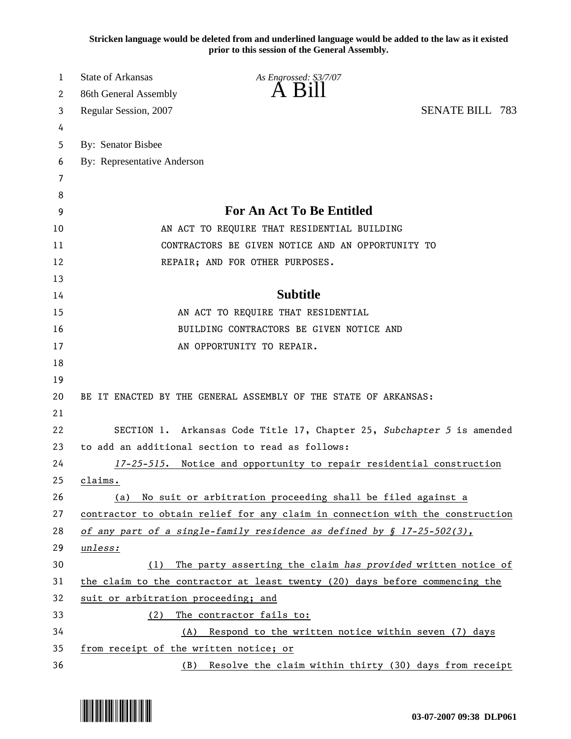**Stricken language would be deleted from and underlined language would be added to the law as it existed prior to this session of the General Assembly.**

| 1  | <b>State of Arkansas</b><br>As Engrossed: S3/7/07                             |  |
|----|-------------------------------------------------------------------------------|--|
| 2  | 86th General Assembly                                                         |  |
| 3  | <b>SENATE BILL 783</b><br>Regular Session, 2007                               |  |
| 4  |                                                                               |  |
| 5  | By: Senator Bisbee                                                            |  |
| 6  | By: Representative Anderson                                                   |  |
| 7  |                                                                               |  |
| 8  |                                                                               |  |
| 9  | <b>For An Act To Be Entitled</b>                                              |  |
| 10 | AN ACT TO REQUIRE THAT RESIDENTIAL BUILDING                                   |  |
| 11 | CONTRACTORS BE GIVEN NOTICE AND AN OPPORTUNITY TO                             |  |
| 12 | REPAIR; AND FOR OTHER PURPOSES.                                               |  |
| 13 |                                                                               |  |
| 14 | <b>Subtitle</b>                                                               |  |
| 15 | AN ACT TO REQUIRE THAT RESIDENTIAL                                            |  |
| 16 | BUILDING CONTRACTORS BE GIVEN NOTICE AND                                      |  |
| 17 | AN OPPORTUNITY TO REPAIR.                                                     |  |
| 18 |                                                                               |  |
| 19 |                                                                               |  |
| 20 | BE IT ENACTED BY THE GENERAL ASSEMBLY OF THE STATE OF ARKANSAS:               |  |
| 21 |                                                                               |  |
| 22 | SECTION 1. Arkansas Code Title 17, Chapter 25, Subchapter 5 is amended        |  |
| 23 | to add an additional section to read as follows:                              |  |
| 24 | 17-25-515. Notice and opportunity to repair residential construction          |  |
| 25 | claims.                                                                       |  |
| 26 | No suit or arbitration proceeding shall be filed against a<br>(a)             |  |
| 27 | contractor to obtain relief for any claim in connection with the construction |  |
| 28 | of any part of a single-family residence as defined by $\S$ 17-25-502(3),     |  |
| 29 | unless:                                                                       |  |
| 30 | The party asserting the claim has provided written notice of<br>(1)           |  |
| 31 | the claim to the contractor at least twenty (20) days before commencing the   |  |
| 32 | suit or arbitration proceeding; and                                           |  |
| 33 | The contractor fails to:<br>(2)                                               |  |
| 34 | Respond to the written notice within seven (7) days<br>(A)                    |  |
| 35 | from receipt of the written notice; or                                        |  |
| 36 | Resolve the claim within thirty (30) days from receipt<br>(B)                 |  |